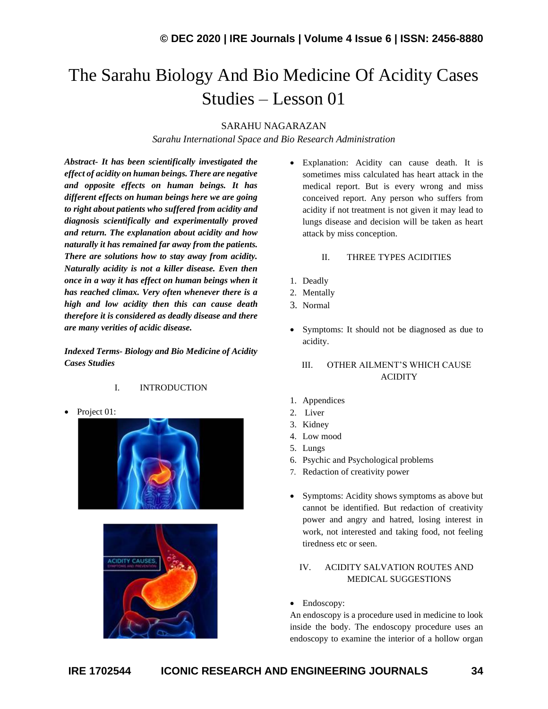# The Sarahu Biology And Bio Medicine Of Acidity Cases Studies – Lesson 01

### SARAHU NAGARAZAN

*Sarahu International Space and Bio Research Administration*

*Abstract- It has been scientifically investigated the effect of acidity on human beings. There are negative and opposite effects on human beings. It has different effects on human beings here we are going to right about patients who suffered from acidity and diagnosis scientifically and experimentally proved and return. The explanation about acidity and how naturally it has remained far away from the patients. There are solutions how to stay away from acidity. Naturally acidity is not a killer disease. Even then once in a way it has effect on human beings when it has reached climax. Very often whenever there is a high and low acidity then this can cause death therefore it is considered as deadly disease and there are many verities of acidic disease.*

*Indexed Terms- Biology and Bio Medicine of Acidity Cases Studies*

### I. INTRODUCTION

Project 01:





• Explanation: Acidity can cause death. It is sometimes miss calculated has heart attack in the medical report. But is every wrong and miss conceived report. Any person who suffers from acidity if not treatment is not given it may lead to lungs disease and decision will be taken as heart attack by miss conception.

### II. THREE TYPES ACIDITIES

- 1. Deadly
- 2. Mentally
- 3. Normal
- Symptoms: It should not be diagnosed as due to acidity.

# III. OTHER AILMENT'S WHICH CAUSE ACIDITY

- 1. Appendices
- 2. Liver
- 3. Kidney
- 4. Low mood
- 5. Lungs
- 6. Psychic and Psychological problems
- 7. Redaction of creativity power
- Symptoms: Acidity shows symptoms as above but cannot be identified. But redaction of creativity power and angry and hatred, losing interest in work, not interested and taking food, not feeling tiredness etc or seen.

# IV. ACIDITY SALVATION ROUTES AND MEDICAL SUGGESTIONS

• Endoscopy:

An endoscopy is a procedure used in medicine to look inside the body. The endoscopy procedure uses an endoscopy to examine the interior of a hollow organ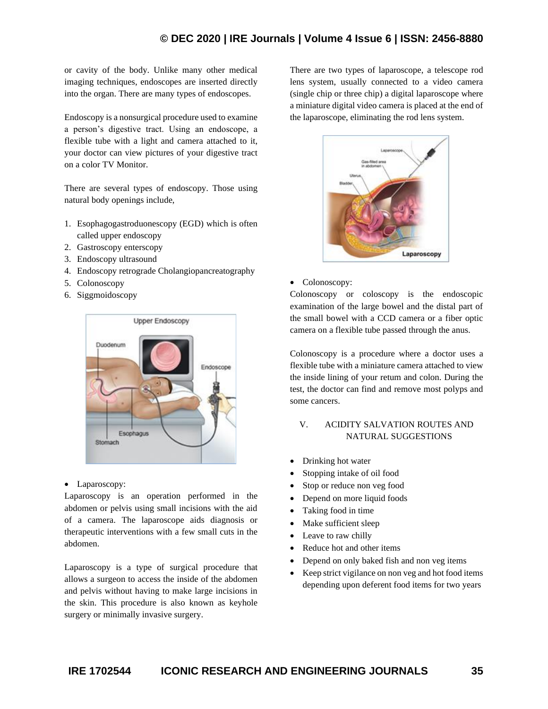# **© DEC 2020 | IRE Journals | Volume 4 Issue 6 | ISSN: 2456-8880**

or cavity of the body. Unlike many other medical imaging techniques, endoscopes are inserted directly into the organ. There are many types of endoscopes.

Endoscopy is a nonsurgical procedure used to examine a person's digestive tract. Using an endoscope, a flexible tube with a light and camera attached to it, your doctor can view pictures of your digestive tract on a color TV Monitor.

There are several types of endoscopy. Those using natural body openings include,

- 1. Esophagogastroduonescopy (EGD) which is often called upper endoscopy
- 2. Gastroscopy enterscopy
- 3. Endoscopy ultrasound
- 4. Endoscopy retrograde Cholangiopancreatography
- 5. Colonoscopy
- 6. Siggmoidoscopy



• Laparoscopy:

Laparoscopy is an operation performed in the abdomen or pelvis using small incisions with the aid of a camera. The laparoscope aids diagnosis or therapeutic interventions with a few small cuts in the abdomen.

Laparoscopy is a type of surgical procedure that allows a surgeon to access the inside of the abdomen and pelvis without having to make large incisions in the skin. This procedure is also known as keyhole surgery or minimally invasive surgery.

There are two types of laparoscope, a telescope rod lens system, usually connected to a video camera (single chip or three chip) a digital laparoscope where a miniature digital video camera is placed at the end of the laparoscope, eliminating the rod lens system.



### • Colonoscopy:

Colonoscopy or coloscopy is the endoscopic examination of the large bowel and the distal part of the small bowel with a CCD camera or a fiber optic camera on a flexible tube passed through the anus.

Colonoscopy is a procedure where a doctor uses a flexible tube with a miniature camera attached to view the inside lining of your retum and colon. During the test, the doctor can find and remove most polyps and some cancers.

## V. ACIDITY SALVATION ROUTES AND NATURAL SUGGESTIONS

- Drinking hot water
- Stopping intake of oil food
- Stop or reduce non veg food
- Depend on more liquid foods
- Taking food in time
- Make sufficient sleep
- Leave to raw chilly
- Reduce hot and other items
- Depend on only baked fish and non veg items
- Keep strict vigilance on non veg and hot food items depending upon deferent food items for two years